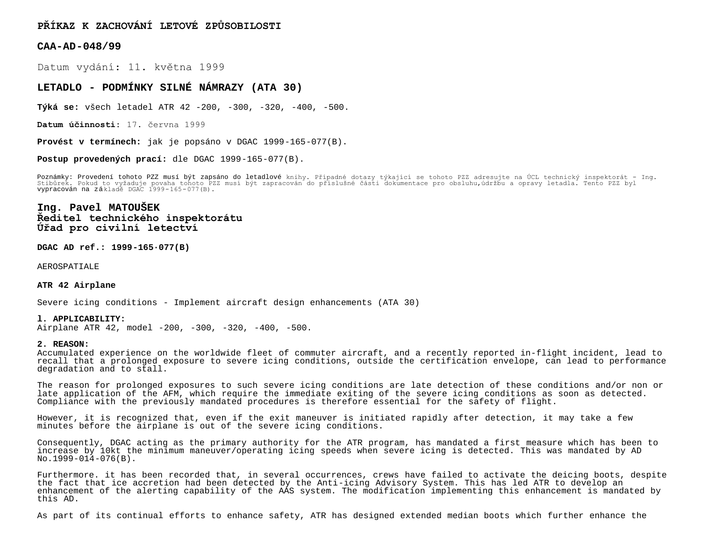**PŘÍKAZ K ZACHOVÁNÍ LETOVÉ ZPŮSOBILOSTI**

**CAA-AD-048/99**

Datum vydání: 11. května 1999

# **LETADLO - PODMÍNKY SILNÉ NÁMRAZY (ATA 30)**

**Týká se:** všech letadel ATR 42 -200, -300, -320, -400, -500.

**Datum účinnosti:** 17. června 1999

**Provést v termínech:** jak je popsáno v DGAC 1999-165-077(B).

**Postup provedených prací:** dle DGAC 1999-165-077(B).

Poznámky: Provedení tohoto PZZ musí být zapsáno do letadlové knihy. Případné dotazy týkající se tohoto PZZ adresujte na UCL technický inspektorát – Ing.<br>Stibůrek. Pokud to vyžaduje povaha tohoto PZZ musí být zapracován do

# **Ing. Pavel MATOUŠEK Ředitel technického inspektorátu Úřad pro civilní letectví**

**DGAC AD ref.: 1999-165·077(B)**

AEROSPATIALE

## **ATR 42 Airplane**

Severe icing conditions - Implement aircraft design enhancements (ATA 30)

#### **l. APPLICABILITY:**

Airplane ATR 42, model -200, -300, -320, -400, -500.

#### **2. REASON:**

Accumulated experience on the worldwide fleet of commuter aircraft, and a recently reported in-flight incident, lead to recall that a prolonged exposure to severe icing conditions, outside the certification envelope, can lead to performance degradation and to stall.

The reason for prolonged exposures to such severe icing conditions are late detection of these conditions and/or non or late application of the AFM, which require the immediate exiting of the severe icing conditions as soon as detected. Compliance with the previously mandated procedures is therefore essential for the safety of flight.

However, it is recognized that, even if the exit maneuver is initiated rapidly after detection, it may take a few minutes before the airplane is out of the severe icing conditions.

Consequently, DGAC acting as the primary authority for the ATR program, has mandated a first measure which has been to increase by 10kt the minimum maneuver/operating icing speeds when severe icing is detected. This was mandated by AD  $No.1999-014-076(B)$ .

Furthermore. it has been recorded that, in several occurrences, crews have failed to activate the deicing boots, despite the fact that ice accretion had been detected by the Anti-icing Advisory System. This has led ATR to develop an enhancement of the alerting capability of the AAS system. The modification implementing this enhancement is mandated by this AD.

As part of its continual efforts to enhance safety, ATR has designed extended median boots which further enhance the